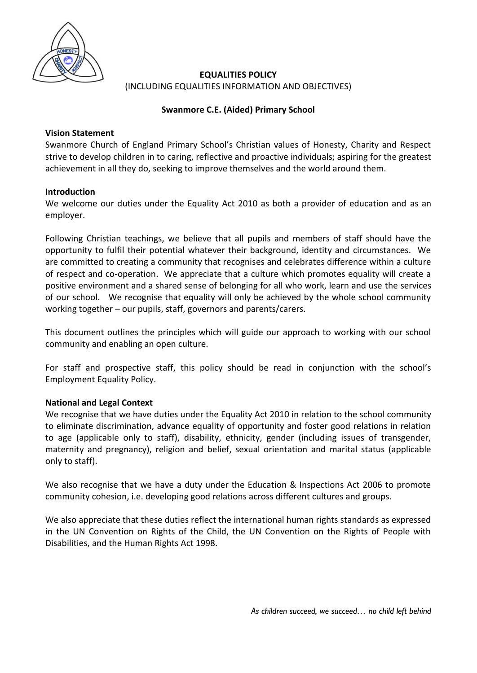

# **EQUALITIES POLICY** (INCLUDING EQUALITIES INFORMATION AND OBJECTIVES)

# **Swanmore C.E. (Aided) Primary School**

## **Vision Statement**

Swanmore Church of England Primary School's Christian values of Honesty, Charity and Respect strive to develop children in to caring, reflective and proactive individuals; aspiring for the greatest achievement in all they do, seeking to improve themselves and the world around them.

## **Introduction**

We welcome our duties under the Equality Act 2010 as both a provider of education and as an employer.

Following Christian teachings, we believe that all pupils and members of staff should have the opportunity to fulfil their potential whatever their background, identity and circumstances. We are committed to creating a community that recognises and celebrates difference within a culture of respect and co-operation. We appreciate that a culture which promotes equality will create a positive environment and a shared sense of belonging for all who work, learn and use the services of our school. We recognise that equality will only be achieved by the whole school community working together – our pupils, staff, governors and parents/carers.

This document outlines the principles which will guide our approach to working with our school community and enabling an open culture.

For staff and prospective staff, this policy should be read in conjunction with the school's Employment Equality Policy.

# **National and Legal Context**

We recognise that we have duties under the Equality Act 2010 in relation to the school community to eliminate discrimination, advance equality of opportunity and foster good relations in relation to age (applicable only to staff), disability, ethnicity, gender (including issues of transgender, maternity and pregnancy), religion and belief, sexual orientation and marital status (applicable only to staff).

We also recognise that we have a duty under the Education & Inspections Act 2006 to promote community cohesion, i.e. developing good relations across different cultures and groups.

We also appreciate that these duties reflect the international human rights standards as expressed in the UN Convention on Rights of the Child, the UN Convention on the Rights of People with Disabilities, and the Human Rights Act 1998.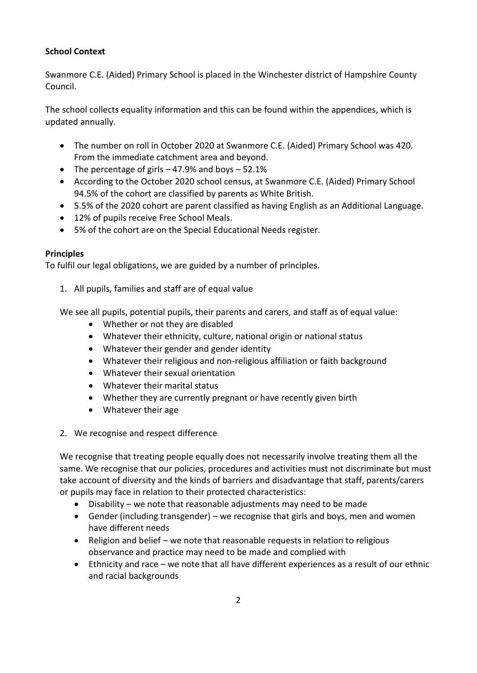# **School Context**

Swanmore C.E. (Aided) Primary School is placed in the Winchester district of Hampshire County Council.

The school collects equality information and this can be found within the appendices, which is updated annually.

- The number on roll in October 2020 at Swanmore C.E. (Aided) Primary School was 420. From the immediate catchment area and beyond.
- The percentage of girls  $-47.9%$  and boys  $-52.1%$
- According to the October 2020 school census, at Swanmore C.E. (Aided) Primary School 94.5% of the cohort are classified by parents as White British.
- 5.5% of the 2020 cohort are parent classified as having English as an Additional Language.
- 12% of pupils receive Free School Meals.
- 5% of the cohort are on the Special Educational Needs register.

## **Principles**

To fulfil our legal obligations, we are guided by a number of principles.

1. All pupils, families and staff are of equal value

We see all pupils, potential pupils, their parents and carers, and staff as of equal value:

- Whether or not they are disabled
- Whatever their ethnicity, culture, national origin or national status
- Whatever their gender and gender identity
- Whatever their religious and non-religious affiliation or faith background
- Whatever their sexual orientation
- Whatever their marital status
- Whether they are currently pregnant or have recently given birth
- Whatever their age
- 2. We recognise and respect difference

We recognise that treating people equally does not necessarily involve treating them all the same. We recognise that our policies, procedures and activities must not discriminate but must take account of diversity and the kinds of barriers and disadvantage that staff, parents/carers or pupils may face in relation to their protected characteristics:

- Disability we note that reasonable adjustments may need to be made
- Gender (including transgender) we recognise that girls and boys, men and women have different needs
- Religion and belief we note that reasonable requests in relation to religious observance and practice may need to be made and complied with
- Ethnicity and race we note that all have different experiences as a result of our ethnic and racial backgrounds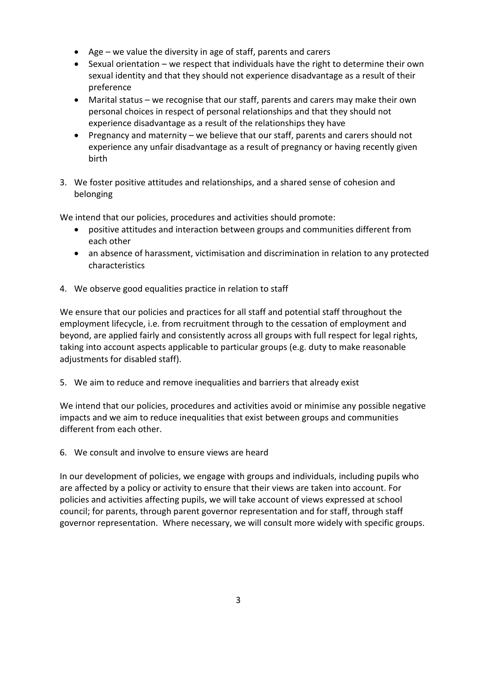- Age we value the diversity in age of staff, parents and carers
- Sexual orientation we respect that individuals have the right to determine their own sexual identity and that they should not experience disadvantage as a result of their preference
- Marital status we recognise that our staff, parents and carers may make their own personal choices in respect of personal relationships and that they should not experience disadvantage as a result of the relationships they have
- Pregnancy and maternity we believe that our staff, parents and carers should not experience any unfair disadvantage as a result of pregnancy or having recently given birth
- 3. We foster positive attitudes and relationships, and a shared sense of cohesion and belonging

We intend that our policies, procedures and activities should promote:

- positive attitudes and interaction between groups and communities different from each other
- an absence of harassment, victimisation and discrimination in relation to any protected characteristics
- 4. We observe good equalities practice in relation to staff

We ensure that our policies and practices for all staff and potential staff throughout the employment lifecycle, i.e. from recruitment through to the cessation of employment and beyond, are applied fairly and consistently across all groups with full respect for legal rights, taking into account aspects applicable to particular groups (e.g. duty to make reasonable adjustments for disabled staff).

5. We aim to reduce and remove inequalities and barriers that already exist

We intend that our policies, procedures and activities avoid or minimise any possible negative impacts and we aim to reduce inequalities that exist between groups and communities different from each other.

6. We consult and involve to ensure views are heard

In our development of policies, we engage with groups and individuals, including pupils who are affected by a policy or activity to ensure that their views are taken into account. For policies and activities affecting pupils, we will take account of views expressed at school council; for parents, through parent governor representation and for staff, through staff governor representation. Where necessary, we will consult more widely with specific groups.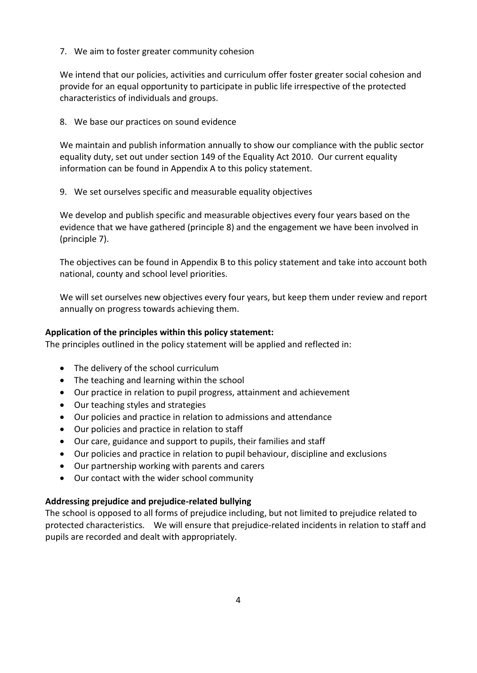7. We aim to foster greater community cohesion

We intend that our policies, activities and curriculum offer foster greater social cohesion and provide for an equal opportunity to participate in public life irrespective of the protected characteristics of individuals and groups.

8. We base our practices on sound evidence

We maintain and publish information annually to show our compliance with the public sector equality duty, set out under section 149 of the Equality Act 2010. Our current equality information can be found in Appendix A to this policy statement.

9. We set ourselves specific and measurable equality objectives

We develop and publish specific and measurable objectives every four years based on the evidence that we have gathered (principle 8) and the engagement we have been involved in (principle 7).

The objectives can be found in Appendix B to this policy statement and take into account both national, county and school level priorities.

We will set ourselves new objectives every four years, but keep them under review and report annually on progress towards achieving them.

## **Application of the principles within this policy statement:**

The principles outlined in the policy statement will be applied and reflected in:

- The delivery of the school curriculum
- The teaching and learning within the school
- Our practice in relation to pupil progress, attainment and achievement
- Our teaching styles and strategies
- Our policies and practice in relation to admissions and attendance
- Our policies and practice in relation to staff
- Our care, guidance and support to pupils, their families and staff
- Our policies and practice in relation to pupil behaviour, discipline and exclusions
- Our partnership working with parents and carers
- Our contact with the wider school community

### **Addressing prejudice and prejudice-related bullying**

The school is opposed to all forms of prejudice including, but not limited to prejudice related to protected characteristics. We will ensure that prejudice-related incidents in relation to staff and pupils are recorded and dealt with appropriately.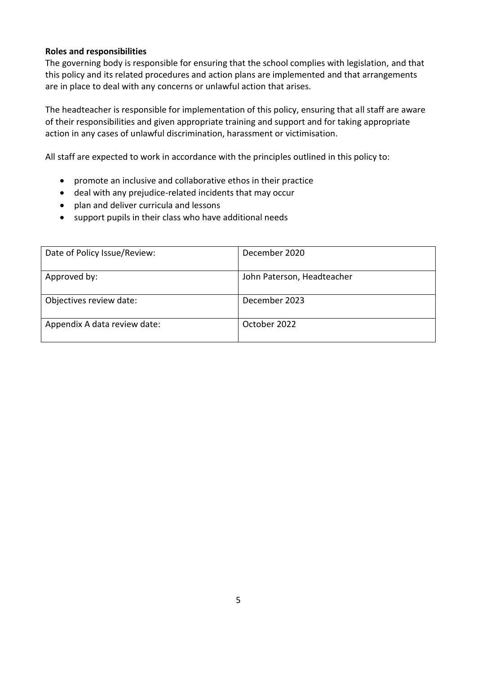### **Roles and responsibilities**

The governing body is responsible for ensuring that the school complies with legislation, and that this policy and its related procedures and action plans are implemented and that arrangements are in place to deal with any concerns or unlawful action that arises.

The headteacher is responsible for implementation of this policy, ensuring that all staff are aware of their responsibilities and given appropriate training and support and for taking appropriate action in any cases of unlawful discrimination, harassment or victimisation.

All staff are expected to work in accordance with the principles outlined in this policy to:

- promote an inclusive and collaborative ethos in their practice
- deal with any prejudice-related incidents that may occur
- plan and deliver curricula and lessons
- support pupils in their class who have additional needs

| Date of Policy Issue/Review: | December 2020              |
|------------------------------|----------------------------|
| Approved by:                 | John Paterson, Headteacher |
| Objectives review date:      | December 2023              |
| Appendix A data review date: | October 2022               |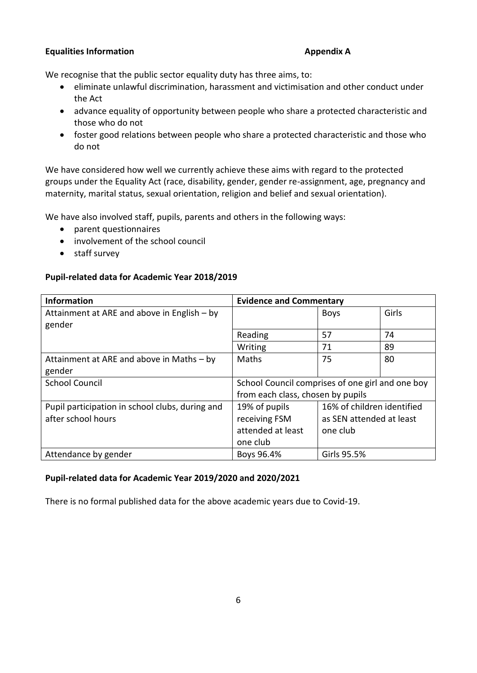## **Equalities Information Appendix A**

We recognise that the public sector equality duty has three aims, to:

- eliminate unlawful discrimination, harassment and victimisation and other conduct under the Act
- advance equality of opportunity between people who share a protected characteristic and those who do not
- foster good relations between people who share a protected characteristic and those who do not

We have considered how well we currently achieve these aims with regard to the protected groups under the Equality Act (race, disability, gender, gender re-assignment, age, pregnancy and maternity, marital status, sexual orientation, religion and belief and sexual orientation).

We have also involved staff, pupils, parents and others in the following ways:

- parent questionnaires
- involvement of the school council
- staff survey

## **Pupil-related data for Academic Year 2018/2019**

| <b>Information</b>                              | <b>Evidence and Commentary</b>                   |                            |       |
|-------------------------------------------------|--------------------------------------------------|----------------------------|-------|
| Attainment at ARE and above in English - by     |                                                  | <b>Boys</b>                | Girls |
| gender                                          |                                                  |                            |       |
|                                                 | Reading                                          | 57                         | 74    |
|                                                 | Writing                                          | 71                         | 89    |
| Attainment at ARE and above in Maths - by       | Maths                                            | 75                         | 80    |
| gender                                          |                                                  |                            |       |
| <b>School Council</b>                           | School Council comprises of one girl and one boy |                            |       |
|                                                 | from each class, chosen by pupils                |                            |       |
| Pupil participation in school clubs, during and | 19% of pupils                                    | 16% of children identified |       |
| after school hours                              | receiving FSM                                    | as SEN attended at least   |       |
|                                                 | attended at least                                | one club                   |       |
|                                                 | one club                                         |                            |       |
| Attendance by gender                            | Boys 96.4%                                       | Girls 95.5%                |       |

### **Pupil-related data for Academic Year 2019/2020 and 2020/2021**

There is no formal published data for the above academic years due to Covid-19.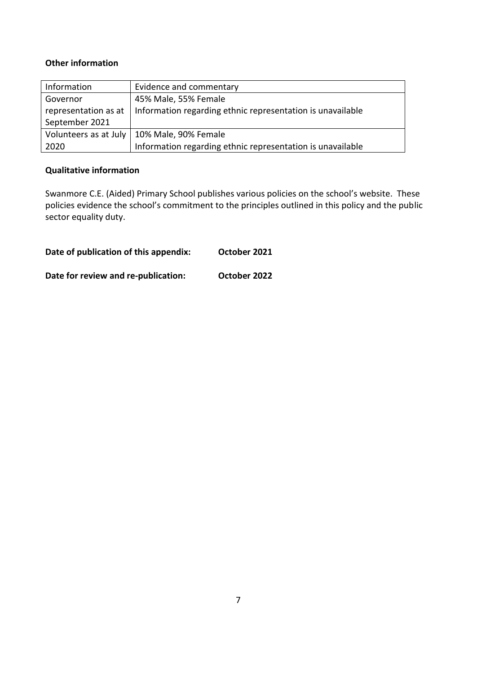# **Other information**

| Information           | Evidence and commentary                                    |
|-----------------------|------------------------------------------------------------|
| Governor              | 45% Male, 55% Female                                       |
| representation as at  | Information regarding ethnic representation is unavailable |
| September 2021        |                                                            |
| Volunteers as at July | 10% Male, 90% Female                                       |
| 2020                  | Information regarding ethnic representation is unavailable |

## **Qualitative information**

Swanmore C.E. (Aided) Primary School publishes various policies on the school's website. These policies evidence the school's commitment to the principles outlined in this policy and the public sector equality duty.

| Date of publication of this appendix: | October 2021 |
|---------------------------------------|--------------|
| Date for review and re-publication:   | October 2022 |